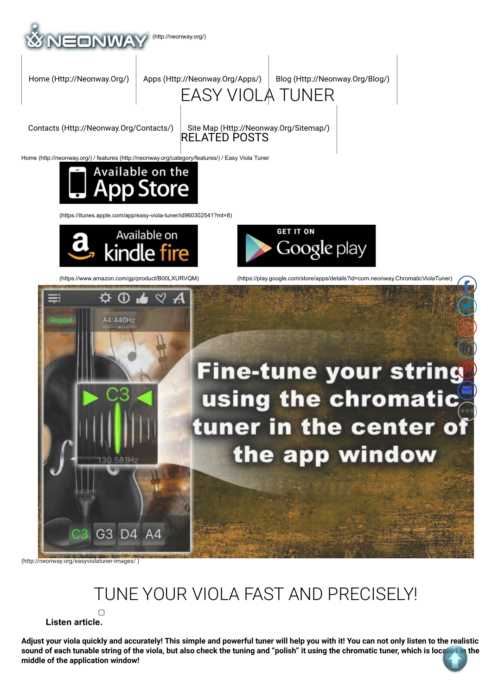

Home (http://neonway.org/) / features (http://neonway.org/category/features/) / Easy Viola Tuner



(https://itunes.apple.com/app/easy-viola-tuner/id960302541?mt=8)



**GET IT ON** Google play





## TUNE YOUR VIOLA FAST AND PRECISELY!

 **Listen article.**

 $\Box$ 

**Adjust your viola quickly and accurately! This simple and powerful tuner will help you with it! You can not only listen to the realistic sound of each tunable string of the viola, but also check the tuning and "polish" it using the chromatic tuner, which is located in the middle of the application window!**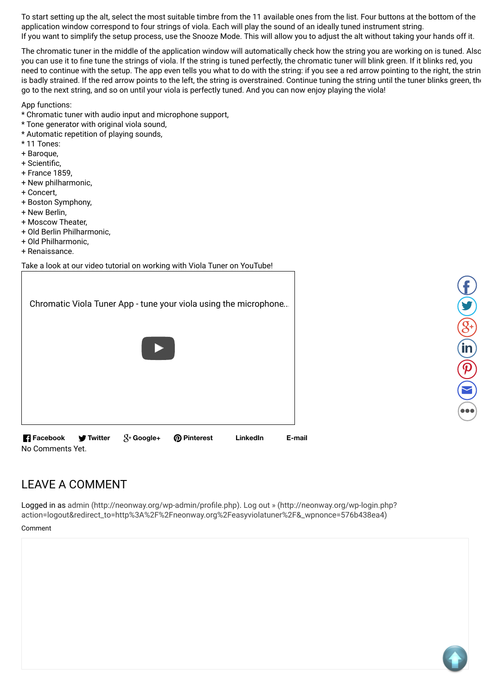To start setting up the alt, select the most suitable timbre from the 11 available ones from the list. Four buttons at the bottom of the application window correspond to four strings of viola. Each will play the sound of an ideally tuned instrument string. If you want to simplify the setup process, use the Snooze Mode. This will allow you to adjust the alt without taking your hands off it.

The chromatic tuner in the middle of the application window will automatically check how the string you are working on is tuned. Also, you can use it to fine tune the strings of viola. If the string is tuned perfectly, the chromatic tuner will blink green. If it blinks red, you need to continue with the setup. The app even tells you what to do with the string: if you see a red arrow pointing to the right, the string is badly strained. If the red arrow points to the left, the string is overstrained. Continue tuning the string until the tuner blinks green, the go to the next string, and so on until your viola is perfectly tuned. And you can now enjoy playing the viola!

App functions:

- \* Chromatic tuner with audio input and microphone support,
- \* Tone generator with original viola sound,
- \* Automatic repetition of playing sounds,
- \* 11 Tones:
- + Baroque,
- + Scientific.
- + France 1859,
- + New philharmonic,
- + Concert,
- + Boston Symphony,
- + New Berlin,
- + Moscow Theater,
- + Old Berlin Philharmonic,
- + Old Philharmonic,
- + Renaissance.

F

Take a look at our video tutorial on working with Viola Tuner on YouTube!

| <b>R</b> Facebook | <b>⊺Twitter</b> | $\mathcal{S}^+$ Google+ | <b>Pinterest</b><br>ၜ                                            | LinkedIn | E-mail |
|-------------------|-----------------|-------------------------|------------------------------------------------------------------|----------|--------|
|                   |                 |                         |                                                                  |          |        |
|                   |                 |                         |                                                                  |          |        |
|                   |                 |                         | Chromatic Viola Tuner App - tune your viola using the microphone |          |        |
|                   |                 |                         |                                                                  |          |        |



No Comments Yet.

LEAVE A COMMENT

Logged in as admin (http://neonway.org/wp-admin/profile.php). Log out » (http://neonway.org/wp-login.php? action=logout&redirect\_to=http%3A%2F%2Fneonway.org%2Feasyviolatuner%2F&\_wpnonce=576b438ea4)

Comment